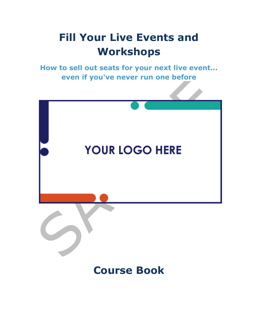## **Fill Your Live Events and Workshops**

**How to sell out seats for your next live event... even if you've never run one before**



### **Course Book**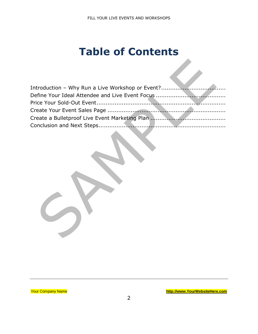### **Table of Contents**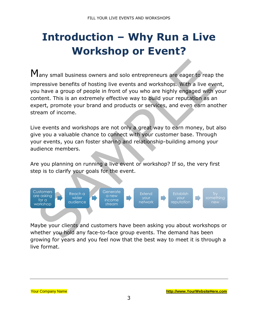# <span id="page-2-0"></span>**Introduction – Why Run a Live Workshop or Event?**

Many small business owners and solo entrepreneurs are eager to reap the impressive benefits of hosting live events and workshops. With a live event, you have a group of people in front of you who are highly engaged with your content. This is an extremely effective way to build your reputation as an expert, promote your brand and products or services, and even earn another stream of income.

Live events and workshops are not only a great way to earn money, but also give you a valuable chance to connect with your customer base. Through your events, you can foster sharing and relationship-building among your audience members.

Are you planning on running a live event or workshop? If so, the very first step is to clarify your goals for the event.



Maybe your clients and customers have been asking you about workshops or whether you hold any face-to-face group events. The demand has been growing for years and you feel now that the best way to meet it is through a live format.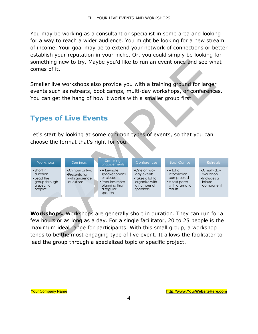You may be working as a consultant or specialist in some area and looking for a way to reach a wider audience. You might be looking for a new stream of income. Your goal may be to extend your network of connections or better establish your reputation in your niche. Or, you could simply be looking for something new to try. Maybe you'd like to run an event once and see what comes of it.

Smaller live workshops also provide you with a training ground for larger events such as retreats, boot camps, multi-day workshops, or conferences. You can get the hang of how it works with a smaller group first.

### **Types of Live Events**

Let's start by looking at some common types of events, so that you can choose the format that's right for you.



**Workshops.** Workshops are generally short in duration. They can run for a few hours or as long as a day. For a single facilitator, 20 to 25 people is the maximum ideal range for participants. With this small group, a workshop tends to be the most engaging type of live event. It allows the facilitator to lead the group through a specialized topic or specific project.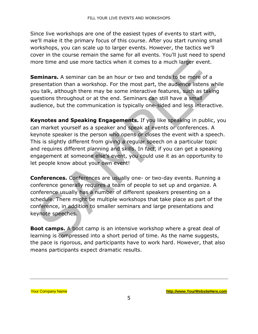Since live workshops are one of the easiest types of events to start with, we'll make it the primary focus of this course. After you start running small workshops, you can scale up to larger events. However, the tactics we'll cover in the course remain the same for all events. You'll just need to spend more time and use more tactics when it comes to a much larger event.

**Seminars.** A seminar can be an hour or two and tends to be more of a presentation than a workshop. For the most part, the audience listens while you talk, although there may be some interactive features, such as taking questions throughout or at the end. Seminars can still have a small audience, but the communication is typically one-sided and less interactive.

**Keynotes and Speaking Engagements.** If you like speaking in public, you can market yourself as a speaker and speak at events or conferences. A keynote speaker is the person who opens or closes the event with a speech. This is slightly different from giving a regular speech on a particular topic and requires different planning and skills. In fact, if you can get a speaking engagement at someone else's event, you could use it as an opportunity to let people know about your own event!

**Conferences.** Conferences are usually one- or two-day events. Running a conference generally requires a team of people to set up and organize. A conference usually has a number of different speakers presenting on a schedule. There might be multiple workshops that take place as part of the conference, in addition to smaller seminars and large presentations and keynote speeches.

**Boot camps.** A boot camp is an intensive workshop where a great deal of learning is compressed into a short period of time. As the name suggests, the pace is rigorous, and participants have to work hard. However, that also means participants expect dramatic results.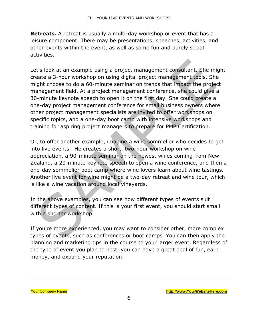**Retreats.** A retreat is usually a multi-day workshop or event that has a leisure component. There may be presentations, speeches, activities, and other events within the event, as well as some fun and purely social activities.

Let's look at an example using a project management consultant. She might create a 3-hour workshop on using digital project management tools. She might choose to do a 60-minute seminar on trends that impact the project management field. At a project management conference, she could give a 30-minute keynote speech to open it on the first day. She could create a one-day project management conference for small business owners where other project management specialists are invited to offer workshops on specific topics, and a one-day boot camp with intensive workshops and training for aspiring project managers to prepare for PMP Certification.

Or, to offer another example, imagine a wine sommelier who decides to get into live events. He creates a short, two-hour workshop on wine appreciation, a 90-minute seminar on the newest wines coming from New Zealand, a 20-minute keynote speech to open a wine conference, and then a one-day sommelier boot camp where wine lovers learn about wine tastings. Another live event for wine might be a two-day retreat and wine tour, which is like a wine vacation around local vineyards.

In the above examples, you can see how different types of events suit different types of content. If this is your first event, you should start small with a shorter workshop.

If you're more experienced, you may want to consider other, more complex types of events, such as conferences or boot camps. You can then apply the planning and marketing tips in the course to your larger event. Regardless of the type of event you plan to host, you can have a great deal of fun, earn money, and expand your reputation.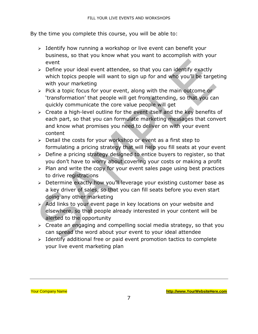By the time you complete this course, you will be able to:

- ➢ Identify how running a workshop or live event can benefit your business, so that you know what you want to accomplish with your event
- ➢ Define your ideal event attendee, so that you can identify exactly which topics people will want to sign up for and who you'll be targeting with your marketing
- $\triangleright$  Pick a topic focus for your event, along with the main outcome or 'transformation' that people will get from attending, so that you can quickly communicate the core value people will get
- ➢ Create a high-level outline for the event itself and the key benefits of each part, so that you can formulate marketing messages that convert and know what promises you need to deliver on with your event content
- ➢ Detail the costs for your workshop or event as a first step to formulating a pricing strategy that will help you fill seats at your event
- $\geq$  Define a pricing strategy designed to entice buyers to register, so that you don't have to worry about covering your costs or making a profit
- $\ge$  Plan and write the copy for your event sales page using best practices to drive registrations
- ➢ Determine exactly how you'll leverage your existing customer base as a key driver of sales, so that you can fill seats before you even start doing any other marketing
- ➢ Add links to your event page in key locations on your website and elsewhere, so that people already interested in your content will be alerted to the opportunity
- ➢ Create an engaging and compelling social media strategy, so that you can spread the word about your event to your ideal attendee
- ➢ Identify additional free or paid event promotion tactics to complete your live event marketing plan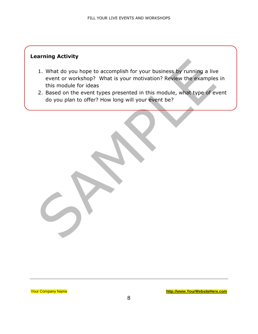#### **Learning Activity**

- 1. What do you hope to accomplish for your business by running a live event or workshop? What is your motivation? Review the examples in this module for ideas
- 2. Based on the event types presented in this module, what type of event do you plan to offer? How long will your event be?

Your Company Name **[http://www.YourWebsiteHere.com](http://www.yourwebsitehere.com/)**